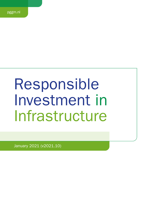# Responsible Investment in Infrastructure

January 2021 (v2021.10)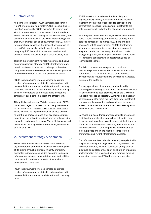# 1. Introduction

As a long-term investor, PGGM Vermogensbeheer B.V. (PGGM Investments, hereinafter PGGM) is committed to investing responsibly. PGGM manages its clients' Infrastructure investments in order to contribute towards a stable pension for their participants while also taking into consideration its impact on the world. PGGM recognizes that environmental, social, and governance (ESG) factors have a material impact on the financial performance of the portfolio, especially in the longer term. As such, integrating ESG issues into investment analysis and decision-making processes is part of its fiduciary duty.

Through the predominantly direct investment and active asset management strategy PGGM Infrastructure team is well positioned to steer and challenge its investee companies to adapt more responsible business practices in the environmental, social, and governance areas.

PGGM Infrastructure's investee companies provide reliable, affordable and sustainable infrastructure, which is essential for any modern society to thrive in the long term. This means that PGGM Infrastructure is in a unique position to contribute to the sustainable investment ambition of our clients in a direct and effective way.

This guideline addresses PGGM's management of ESG issues with regard to Infrastructure. The guideline is a further refinement of [PGGM's Responsible Investment](https://www.pggm.nl/media/f4zoxray/responsible-investment-implementation-framework_pggm.pdf) [Framework](https://www.pggm.nl/media/f4zoxray/responsible-investment-implementation-framework_pggm.pdf) and its implementation guidelines and the relevant fund prospectus and ancillary documentation. In addition, the obligations arising from compliance with legislation and regulations apply. The guidelines cover all investments made by PGGM Infrastructure, effective as of 1 January 2021.

## 2. Investment strategy & approach

PGGM Infrastructure aims to deliver attractive riskadjusted returns and the non-financial investment goals of its clients through significant minority or majority ownership in investee companies operating in 4 major infrastructure sectors: transportation, energy & utilities communication and social infrastructure such as education and healthcare.

PGGM Infrastructure's investee companies provide reliable, affordable and sustainable infrastructure, which is essential for any modern society to thrive in the long term.

PGGM Infrastructure believes that financially and organisationally healthy companies are more resilient: long-term investment horizons require conviction and commitment to ensure infrastructure investments are able to successfully adapt to the changing environment.

As a long-term investment manager, PGGM Infrastructure holds a stake in the long-term business strategy of the portfolio companies. To manage ESG risks and take advantage of ESG opportunities, PGGM Infrastructure initiates, as necessary, transformation in response to long term trends, such as energy transition, climate change adaptation, demographic and social shifts, need for increasing connectivity and accelerating pace of technological change.

Portfolio companies are analysed and monitored on their strategic and financial merits as well as their ESG performance. The latter is expected to help reduce investment and reputational risks or increase (expected) returns of the portfolio.

The engaged shareholder strategy underpinned by suitable governance rights presents a positive opportunity for sustainable business practices which are viewed as the social "license to operate". Sustainable and healthy companies are also more resilient: long-term investment horizons require conviction and commitment to ensure infrastructure investments are able to successfully adapt to the changing environment.

By having in place a transparent responsible investment guideline for Infrastructure, as further outlined in this document, and by actively taking into account the integration of ESG risks in investment decisions, the Infrastructure team believes that it offers a positive contribution that is best practice and in line with the clients' stated preferences and PGGM Infrastructure mandate.

The Infrastructure team aims is to be fully compliant with obligations arising from legislation and regulations. The relevant standards, codes of conduct or (inter)national initiatives or legislation that apply and have an impact on implementation are discussed below. For more detailed information please see [PGGM Investments website.](https://www.pggm.nl/en/our-services/transparency-reports-and-policy-documents/)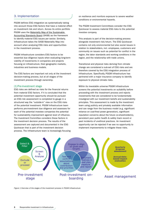# 3. Implementation

PGGM defines ESG integration as systematically taking into account those ESG factors that have a material effect on investment risk and return. Across its entire portfolio PGGM uses the [Materiality Map of the Sustainable](https://www.sasb.org/standards-overview/materiality-map/)  [Accounting Standards Board](https://www.sasb.org/standards-overview/materiality-map/) (SASB) as the framework to identify material ESG issues per sector. Similarly, Infrastructure takes the SASB Materiality Map into account when analysing ESG risks and opportunities in the investment process.

PGGM Infrastructure considers ESG factors to be essential due diligence inputs when evaluating long-term viability of investments in companies and projects focusing on infrastructure, their geographic markets, industries and business models.

The ESG factors are important not only at the investment decision-making process, but at all stages of the investment process through ownership.

#### (1) Pre-investment stage

ESG risks are defined as risks for the financial returns from material ESG factors. If it is concluded that the potential investment opportunity should be pursued an ESG risk assessment is completed to gauge in a structured way the "outside-in" view on the ESG risks of the potential investment. PGGM Infrastructure team performs pre-investment due diligence and assesses for each of the potential investee companies the potential for sustainability improvement against level of influence. The Investment Committee considers these factors in the investment decision process. The results of the assessment are captured and documented in the ESG Quickscan that is part of the investment decision process. The Infrastructure team is increasingly focusing on resilience and monitors exposure to severe weather conditions or environmental hazards.

The PGGM Investment Committees consider the ESG Quickscan to assess material ESG risks to the potential investee company.

This analysis is part of the decision-making process alongside investment risk/return. The ESG Quickscan contains not only environmental but also social issues in relation to stakeholders, incl. employees, customers and community on issues such as potential for conflict in the region, the labor standards and working conditions in the region, and the relationship with trade unions.

Transitional and physical risks deriving from climate change are considered a sub-set of ESG risks and are therefore covered by the ESG integration process of Infrastructure. Specifically, PGGM Infrastructure has partnered with a major insurance company to identify exposure to physical climate risks.

Within its investable universe PGGM Infrastructure screens the potential investments on suitability before proceeding with the investment process and rejects investments that are considered to be fundamentally misaligned with our investment beliefs and sustainability principles. This assessment is made by the investment team using publicly and privately available information and can range from the business model (e.g. significant reliance on coal-fired power generation), significant reputation concerns about the future co-shareholder(s), persistent poor public health & safety track record or past incidents of unethical practices. An investment opportunity can be rejected if we see no opportunity to implement improvements to mitigate these risks.



*Figure 1 Overview of the stages of the investment process in PGGM Infrastructure*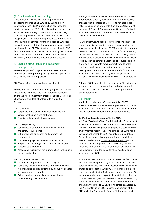## (2) Post-investment on boarding

Consistent and reliable ESG data is paramount for assessing and managing ESG risks. During the onboarding process PGGM Infrastructure assesses the quality/scope of the ESG data collected and reported by each investee company to the Board of Directors; any gaps and improvement actions are identified. Since its inception, PGGM Infrastructure participates in the [GRESB](https://gresb.com/infrastructure-asset-assessment/)  [Infrastructure benchmark](https://gresb.com/infrastructure-asset-assessment/) for the purposes of ESG peer comparison and each investee company is encouraged to participate in the GRESB Infrastructure benchmark. ESG factors are also a fixed part of the monitoring discussions and management is asked to devote attention to this, particularly if performance is less than satisfactory.

## (3)Ongoing stewardship and investment management

The company-specific objectives are reviewed annually and changes are reported quarterly and the exposure to ESG risks is monitored quarterly.

 $(1)$ ,  $(2)$  and  $(3)(a)$  apply to all new investments.

The key ESG risks that can materially impact value of the investments and hence are given particular attention during the whole investment process, including ownership phase, stem from lack of or failure to ensure the following:

Good governance:

- Responsible and ethical business practices and culture instilled as "tone at the top"
- **Effective critical incident management**

Socially responsibility:

- Compliance with statutory and technical health and safety requirements
- **D** Culture focused on healthy and safe working environment
- **Employee engagement, diversity and inclusion**
- Respect for human rights and community dialogue
- **Personal data protection**
- **D** Access and reliability of the infrastructure to the public (where applicable)

Reducing environmental impact:

- Location-driven physical climate change risk
- Regulatory measures/penalties for non-compliance with standards and regulations e.g. air quality or water and wastewater standards
- Failure to adapt to new climate-change driven constrains, e.g. net zero carbon

Although individual incidents cannot be ruled out, PGGM Infrastructure carefully considers, monitors and actively engages with the Board of Directors to mitigate these risks. Because of constant attention and engagement at the level of Board of Directors probability of a significant structured deterioration of the portfolio value due to ESG risks is considered limited.

PGGM Infrastructure does not have sufficient data yet to quantify positive correlation between sustainability and long-term value development. PGGM Infrastructure invests based on the conviction that a pro-active focus on socially responsible business practices and sustainability makes infrastructure businesses more valuable and less exposed to risks, such as stranded asset risk or reputational risk. It is also a key factor to remain attractive to talented employees and leverage opportunities for business development. Due to the private nature of infrastructure investments, reliable third-party ESG ratings are not available and hence not considered by PGGM Infrastructure.

Although PGGM Infrastructure acts as a long-term investor, investments can be considered for early divestment if it no longer fits into the portfolio or if the long term risk profile deteriorates.

#### 3.b Impact

In addition to a better-performing portfolio, PGGM Infrastructure seeks to enhance the positive impact of its investments and to minimize adverse impacts even when they do not directly affect the financial performance.

#### 1. Positive impact: investing in the SDGs

In 2016 PGGM and APG defined Sustainable Development Investments (SDIs) as "investments that yield market-rate financial returns while generating a positive social and/or environmental impact" (i.e. contribute to the Sustainable Development Goals). In 2020 Australian Super, British Colombia Investment Management Corporation joined APG and PGGM in the [SDI-Asset Owner Platform](https://www.sdi-aop.org/) which owns a taxonomy of products and services (solutions) that contribute to the SDGs. With a set of decision rules the taxonomy forms the basis for the classification of investments as 'SDI'.

PGGM main client's ambition is to increase the SDI volume to 20% of the total portfolio by 2025. The effort to measure portfolio companies' real-world impact, however, is currently limited to seven focus SDGs: #2 (zero hunger), #3 (good health and wellbeing), #6 (clean water and sanitation), #7 (affordable and clean energy), #11 (sustainable cities and communities), #12 (responsible consumption and production) and #13 (climate action). To estimate and monitor the impact on these focus SDGs, the indicators suggested by the [Working Group on SDG impact measurement of the](https://www.dnb.nl/en/green-economy/sustainable-finance-platform/sdg-impact-assessment-working-group/)  [DNB-facilitated Sustainable Finance Platform](https://www.dnb.nl/en/green-economy/sustainable-finance-platform/sdg-impact-assessment-working-group/) are used.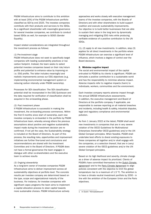PGGM Infrastructure aims to contribute to this ambition with at least 20%] of the PGGM Infrastructure portfolio classified as SDI by end 2025. The investee companies contribute with their products and services to the SDGs. As a significant shareholder with meaningful governance for several investee companies, we contribute to conduct based SDGs as well, for example to SDG5 (Gender Equality).

Impact related considerations are integrated throughout the investment process as follows:

#### *(1) Pre-investment stage*

PGGM Infrastructure does not seek to specifically target companies with leading sustainability practices or low carbon footprint. Instead, the team seeks to select potential investee companies based on their risk/return profile and potential to enhance value by improving on i.e. ESG profile. The latter includes meaningful and realistic improvements across our ESG objectives (e.g. implementing environmental management system or reducing carbon intensity under PGGM ownership).

Processes for SDI classification: The SDI classification potential shall be incorporated in the ESG Quickscan and the data required for verification of classification shall be acquired in the on-boarding phase.

#### *(2) Post investment phase*

If PGGM Infrastructure is successful in making the investment, the on-boarding process commences. Within the first 6 months since start of ownership, each new investee company is on-boarded in the portfolio by PGGM Infrastructure team, whereby among others the previous assumptions about positive and negative sustainability impact made during the investment decision are reconfirmed. If not yet the case, the Sustainability strategy is included on the Board of Directors. As part of this process, the resulting risks, opportunities and improvement initiatives are further fine-tuned and conclusions and recommendations are shared with the Investment Committee and in the Board of Directors. If PGGM does not have a formal governance the team engages in dialogue with other co-shareholders and the executive team to achieve results

#### *(3) Ongoing stewardship*

As a long-term owner of investee companies PGGM Infrastructure aims to deliver improvement across all sustainability objectives at portfolio level. The concrete results per investee company are determined based on the type, scope and organizational maturity of the business. For instance, for investee companies with significant capex programs the team aims to implement a capital allocation process to steer capital towards more sustainable choices. PGGM Infrastructure actively

approaches and works closely with executive management teams of the investee companies, with the Boards of Directors and with other shareholders to build support coalition and execute sustainability improvements. Our objective is to build better businesses that are able to sustain their value in the long term by dynamically managing and mitigating ESG risks while producing verifiable evidence of a positive contribution to the UN SDGs.

(1), (2) apply to all new investments. In addition, step (3) applies for all direct investments in the portfolio where PGGM Infrastructure can exercise a significant level of influence, which involves a degree of control over the Board decisions.

#### 2. Minimise negative impact

The social and environmental impact of the capital entrusted to PGGM by its clients is significant. PGGM can stimulate a positive contribution to a sustainable world and has the responsibility to minimise adverse impact. Adverse impacts refer to negative impacts (harm) to individuals, workers, communities and the environment.

Each investee company reports adverse impact through the annual GRESB Infrastructure assessments. In addition, the executive management and Board of Directors at the portfolio company, if applicable, are responsible to oversee reporting on all material breaches and incidents, including health & safety, industrial disputes, legal and regulatory compliance and environmental pollution.

As from 1 January 2022 at the latest, PGGM shall avoid new investments in companies that are in very severe violation of the OECD Guidelines for Multinational Enterprises (hereinafter OECD guidelines) and/or the UN Global Compact principles. When feasible, PGGM shall undertake best efforts to divest existing exposures to these companies all together and/or shall engage with the companies, or a selection thereof, that are in (very) severe violation of the OECD guidelines and/or the UN Global Compact principles.

Based on its high likelihood and severity, climate change as a driver of adverse impact its prioritized. Clients of PGGM's have committed themselves to the Dutch Climate [agreement](https://www.klimaatakkoord.nl/documenten/publicaties/2019/06/28/national-climate-agreement-the-netherlands)<sup>1</sup> and to the [Paris Climate Agreement](https://unfccc.int/sites/default/files/english_paris_agreement.pdf) to align policies consistent with the objective to limit the global temperature rise to a maximum of 1.5 °C. The ambition is to have a climate neutral investment portfolio by 2050 - in line with the ambition of the European Union and the Paris objectives.

1 In Dutch "Klimaatakkoord"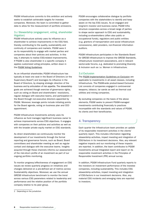PGGM Infrastructure commits to this ambition and actively seeks to establish achievable targets for investee companies. Moreover, the team is committed to gather data to allow for the measurement of portfolio emissions.

## 3.c Stewardship (engagement, voting, shareholder litigation)

PGGM Infrastructure actively uses its influence as a shareholder to achieve improvements in the ESG field, thereby contributing to the quality, sustainability and continuity of companies and markets. PGGM sees it as its responsibility to engage with market parties and companies about their policies and activities. In this way, it attempts to realise ESG-related improvements. If PGGM is also shareholder in a specific company it applies customized voting principles, written down in the [PGGM Voting Guidelines](https://www.pggm.nl/media/5xxhbgnv/pggm-global-voting-guidelines_2020.pdf).

As an influential shareholder, PGGM Infrastructure has typically at least one seat in the Board of Directors (or the Supervisory Board<sup>2</sup>) and leverages its influence in the Board of Directors, by shaping strategic direction of the business and by articulation of risk appetite. The stewardship goals are achieved though exercise of governance rights, such as voting on Board and shareholders' resolutions, regular dialogue with executive teams, and participation in the Board through non-executive directors appointed by PGGM. Moreover, leverage points include initiating points for the Board agenda, voting on business plan and CEO appointment.

PGGM Infrastructure Investments actively uses its influence as fund manager/significant business owner to achieve improvements across ESG objectives. It engages with companies on their policies and activities as well as with the broader private equity market on ESG standards.

As direct shareholders we continuously monitor the development of our investments through the formal reporting and governance forums, such as Board, Board committees and shareholder meeting as well as regular contact and dialogue with the executive teams. Insights acquired through these channels informs our assessment of the risk-return profile of an investment as part of our ongoing portfolio monitoring.

To monitor progress/effectiveness of engagement on ESG issues we review quarterly progress on initiatives and changes delivered on a pre-defined set of metrics across Sustainability objectives. Moreover, we use the annual GRESB Infrastructure benchmark to monitor the trend across various ESG parameters related to leadership and performance and the relative position of the portfolio company relative to its peer group.

PGGM encourages collaborative dialogue by portfolio companies with the stakeholders to identify and keep aware on the key ESG issues. As an engaged and long-term investor and business owner, PGGM Infrastructure cooperates across a broad range of parties to shape sector approach to ESG and sustainability, including co-shareholders (often also public or occupational funds), regulators and public entities (e.g. grantors of transportation and social infrastructure concessions), debt providers, non-financial information auditors.

PGGM Infrastructure participates in the Standards Board for GRESB Infrastructure to improve the GRESB Standards, infrastructure investment associations, and in relevant sector-wide forums, e.g. dedicated to promoting Diversity & Inclusion such as i.e. Women in Infrastructure.

## 3.d Exclusion

The [PGGM Implementation Guidelines on Exclusion](https://www.pggm.nl/media/f4zoxray/responsible-investment-implementation-framework_pggm.pdfhttps:/www.pggm.nl/media/f4zoxray/responsible-investment-implementation-framework_pggm.pdf) are applicable to investments in all asset classes, including Infrastructure. The PGGM-wide product-based Exclusion List consists of companies engaged in controversial weapons, tobacco, tar sands as well as thermal coal utilities and mining companies.

By excluding companies on the basis of the above elements, PGGM seeks to prevent PGGM-managed investments contributing financially to practices incompatible with the standards and values of PGGM, its clients and their beneficiaries.

## 4. Transparency

Each quarter the Infrastructure team provides an update of its responsible investment activities in the clients' quarterly report. This includes information regarding stewardship activities, impact investing and integration of ESG-factors in its investment decisions. Also, any relevant negative impacts and our monitoring of these impacts are reported. In addition, the team contributes to PGGM Investments annual Integrated report and report on its responsible investment activities in the Principles of Responsible Investment (PRI) annual survey.

In addition, PGGM Infrastructure Fund quarterly reports to the investors on investment performance of the investee companies, including sustainability. This includes ESG stewardship activities, impact investing and integration of ESG-factors in our investment decisions. Also, any material ESG incidents and emerging risks are reported to investors.

<sup>2</sup> Depending on the jurisdiction